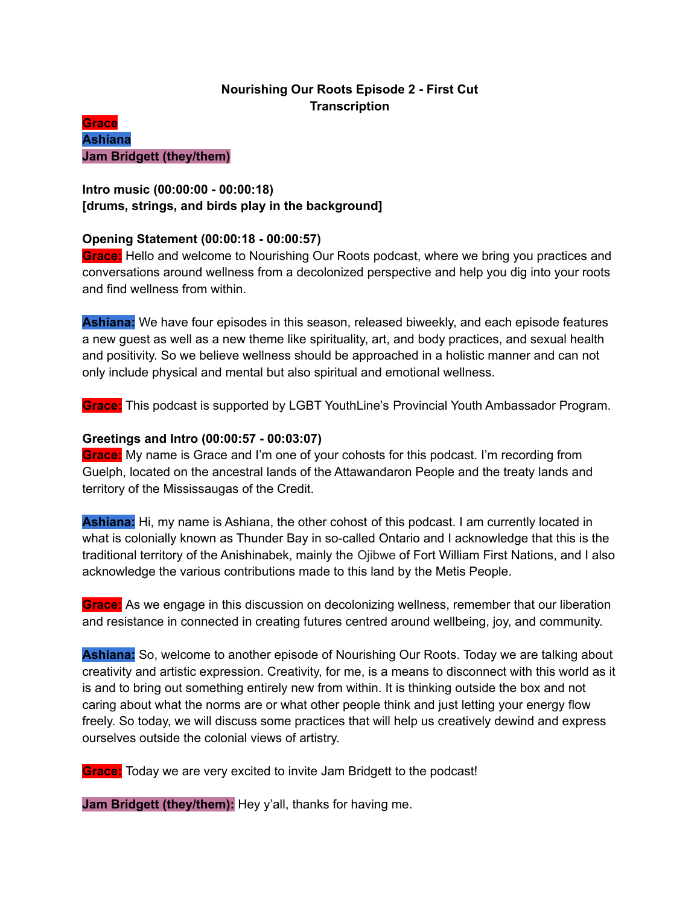# **Nourishing Our Roots Episode 2 - First Cut Transcription**

## **Grace Ashiana Jam Bridgett (they/them)**

# **Intro music (00:00:00 - 00:00:18) [drums, strings, and birds play in the background]**

## **Opening Statement (00:00:18 - 00:00:57)**

**Grace:** Hello and welcome to Nourishing Our Roots podcast, where we bring you practices and conversations around wellness from a decolonized perspective and help you dig into your roots and find wellness from within.

**Ashiana:** We have four episodes in this season, released biweekly, and each episode features a new guest as well as a new theme like spirituality, art, and body practices, and sexual health and positivity. So we believe wellness should be approached in a holistic manner and can not only include physical and mental but also spiritual and emotional wellness.

**Grace:** This podcast is supported by LGBT YouthLine's Provincial Youth Ambassador Program.

## **Greetings and Intro (00:00:57 - 00:03:07)**

**Grace:** My name is Grace and I'm one of your cohosts for this podcast. I'm recording from Guelph, located on the ancestral lands of the Attawandaron People and the treaty lands and territory of the Mississaugas of the Credit.

**Ashiana:** Hi, my name is Ashiana, the other cohost of this podcast. I am currently located in what is colonially known as Thunder Bay in so-called Ontario and I acknowledge that this is the traditional territory of the Anishinabek, mainly the Ojibwe of Fort William First Nations, and I also acknowledge the various contributions made to this land by the Metis People.

**Grace:** As we engage in this discussion on decolonizing wellness, remember that our liberation and resistance in connected in creating futures centred around wellbeing, joy, and community.

**Ashiana:** So, welcome to another episode of Nourishing Our Roots. Today we are talking about creativity and artistic expression. Creativity, for me, is a means to disconnect with this world as it is and to bring out something entirely new from within. It is thinking outside the box and not caring about what the norms are or what other people think and just letting your energy flow freely. So today, we will discuss some practices that will help us creatively dewind and express ourselves outside the colonial views of artistry.

**Grace:** Today we are very excited to invite Jam Bridgett to the podcast!

**Jam Bridgett (they/them):** Hey y'all, thanks for having me.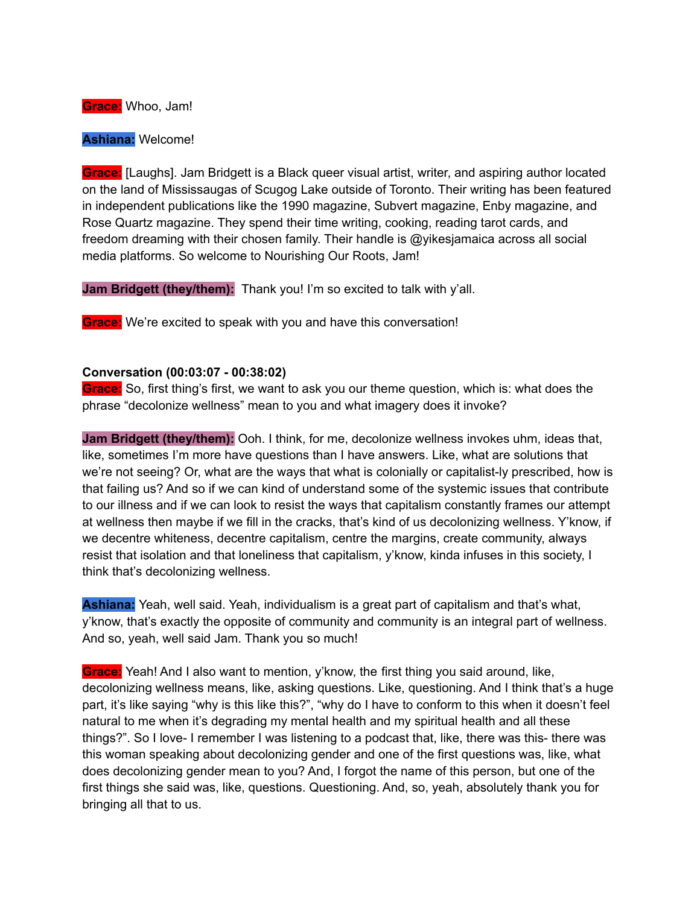**Grace:** Whoo, Jam!

**Ashiana:** Welcome!

**Grace:** [Laughs]. Jam Bridgett is a Black queer visual artist, writer, and aspiring author located on the land of Mississaugas of Scugog Lake outside of Toronto. Their writing has been featured in independent publications like the 1990 magazine, Subvert magazine, Enby magazine, and Rose Quartz magazine. They spend their time writing, cooking, reading tarot cards, and freedom dreaming with their chosen family. Their handle is @yikesjamaica across all social media platforms. So welcome to Nourishing Our Roots, Jam!

**Jam Bridgett (they/them):** Thank you! I'm so excited to talk with y'all.

**Grace:** We're excited to speak with you and have this conversation!

#### **Conversation (00:03:07 - 00:38:02)**

**Grace:** So, first thing's first, we want to ask you our theme question, which is: what does the phrase "decolonize wellness" mean to you and what imagery does it invoke?

**Jam Bridgett (they/them):** Ooh. I think, for me, decolonize wellness invokes uhm, ideas that, like, sometimes I'm more have questions than I have answers. Like, what are solutions that we're not seeing? Or, what are the ways that what is colonially or capitalist-ly prescribed, how is that failing us? And so if we can kind of understand some of the systemic issues that contribute to our illness and if we can look to resist the ways that capitalism constantly frames our attempt at wellness then maybe if we fill in the cracks, that's kind of us decolonizing wellness. Y'know, if we decentre whiteness, decentre capitalism, centre the margins, create community, always resist that isolation and that loneliness that capitalism, y'know, kinda infuses in this society, I think that's decolonizing wellness.

**Ashiana:** Yeah, well said. Yeah, individualism is a great part of capitalism and that's what, y'know, that's exactly the opposite of community and community is an integral part of wellness. And so, yeah, well said Jam. Thank you so much!

**Grace:** Yeah! And I also want to mention, y'know, the first thing you said around, like, decolonizing wellness means, like, asking questions. Like, questioning. And I think that's a huge part, it's like saying "why is this like this?", "why do I have to conform to this when it doesn't feel natural to me when it's degrading my mental health and my spiritual health and all these things?". So I love- I remember I was listening to a podcast that, like, there was this- there was this woman speaking about decolonizing gender and one of the first questions was, like, what does decolonizing gender mean to you? And, I forgot the name of this person, but one of the first things she said was, like, questions. Questioning. And, so, yeah, absolutely thank you for bringing all that to us.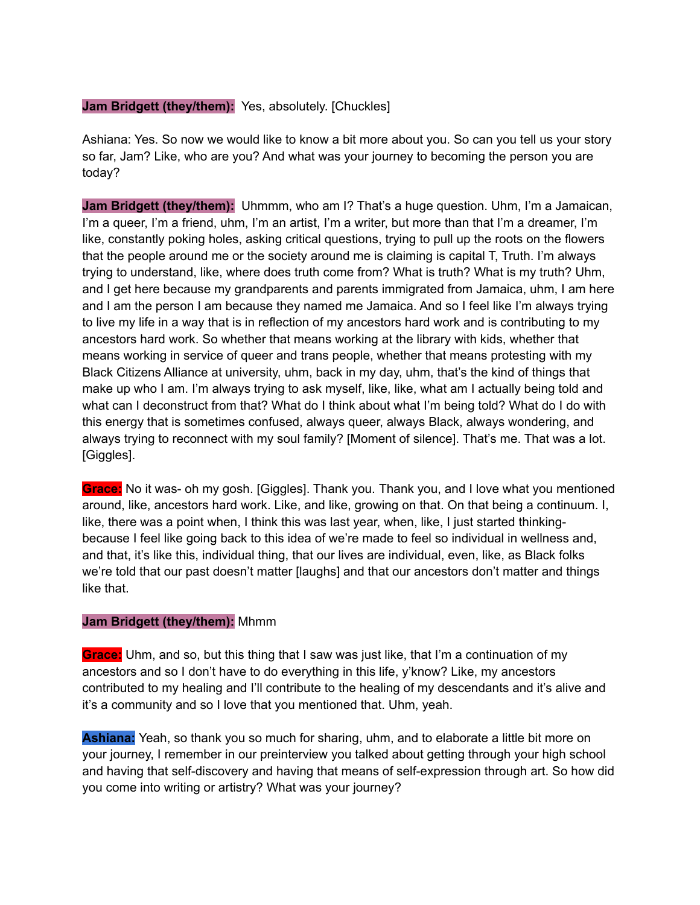#### **Jam Bridgett (they/them):** Yes, absolutely. [Chuckles]

Ashiana: Yes. So now we would like to know a bit more about you. So can you tell us your story so far, Jam? Like, who are you? And what was your journey to becoming the person you are today?

**Jam Bridgett (they/them):** Uhmmm, who am I? That's a huge question. Uhm, I'm a Jamaican, I'm a queer, I'm a friend, uhm, I'm an artist, I'm a writer, but more than that I'm a dreamer, I'm like, constantly poking holes, asking critical questions, trying to pull up the roots on the flowers that the people around me or the society around me is claiming is capital T, Truth. I'm always trying to understand, like, where does truth come from? What is truth? What is my truth? Uhm, and I get here because my grandparents and parents immigrated from Jamaica, uhm, I am here and I am the person I am because they named me Jamaica. And so I feel like I'm always trying to live my life in a way that is in reflection of my ancestors hard work and is contributing to my ancestors hard work. So whether that means working at the library with kids, whether that means working in service of queer and trans people, whether that means protesting with my Black Citizens Alliance at university, uhm, back in my day, uhm, that's the kind of things that make up who I am. I'm always trying to ask myself, like, like, what am I actually being told and what can I deconstruct from that? What do I think about what I'm being told? What do I do with this energy that is sometimes confused, always queer, always Black, always wondering, and always trying to reconnect with my soul family? [Moment of silence]. That's me. That was a lot. [Giggles].

**Grace:** No it was- oh my gosh. [Giggles]. Thank you. Thank you, and I love what you mentioned around, like, ancestors hard work. Like, and like, growing on that. On that being a continuum. I, like, there was a point when, I think this was last year, when, like, I just started thinkingbecause I feel like going back to this idea of we're made to feel so individual in wellness and, and that, it's like this, individual thing, that our lives are individual, even, like, as Black folks we're told that our past doesn't matter [laughs] and that our ancestors don't matter and things like that.

#### **Jam Bridgett (they/them):** Mhmm

**Grace:** Uhm, and so, but this thing that I saw was just like, that I'm a continuation of my ancestors and so I don't have to do everything in this life, y'know? Like, my ancestors contributed to my healing and I'll contribute to the healing of my descendants and it's alive and it's a community and so I love that you mentioned that. Uhm, yeah.

**Ashiana:** Yeah, so thank you so much for sharing, uhm, and to elaborate a little bit more on your journey, I remember in our preinterview you talked about getting through your high school and having that self-discovery and having that means of self-expression through art. So how did you come into writing or artistry? What was your journey?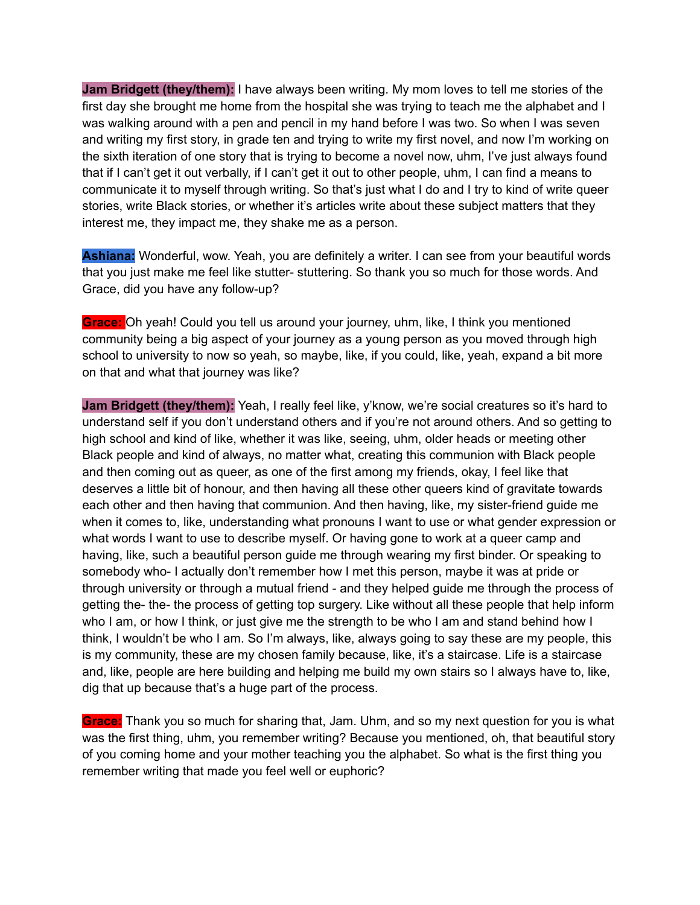**Jam Bridgett (they/them):** I have always been writing. My mom loves to tell me stories of the first day she brought me home from the hospital she was trying to teach me the alphabet and I was walking around with a pen and pencil in my hand before I was two. So when I was seven and writing my first story, in grade ten and trying to write my first novel, and now I'm working on the sixth iteration of one story that is trying to become a novel now, uhm, I've just always found that if I can't get it out verbally, if I can't get it out to other people, uhm, I can find a means to communicate it to myself through writing. So that's just what I do and I try to kind of write queer stories, write Black stories, or whether it's articles write about these subject matters that they interest me, they impact me, they shake me as a person.

**Ashiana:** Wonderful, wow. Yeah, you are definitely a writer. I can see from your beautiful words that you just make me feel like stutter- stuttering. So thank you so much for those words. And Grace, did you have any follow-up?

**Grace:** Oh yeah! Could you tell us around your journey, uhm, like, I think you mentioned community being a big aspect of your journey as a young person as you moved through high school to university to now so yeah, so maybe, like, if you could, like, yeah, expand a bit more on that and what that journey was like?

**Jam Bridgett (they/them):** Yeah, I really feel like, y'know, we're social creatures so it's hard to understand self if you don't understand others and if you're not around others. And so getting to high school and kind of like, whether it was like, seeing, uhm, older heads or meeting other Black people and kind of always, no matter what, creating this communion with Black people and then coming out as queer, as one of the first among my friends, okay, I feel like that deserves a little bit of honour, and then having all these other queers kind of gravitate towards each other and then having that communion. And then having, like, my sister-friend guide me when it comes to, like, understanding what pronouns I want to use or what gender expression or what words I want to use to describe myself. Or having gone to work at a queer camp and having, like, such a beautiful person guide me through wearing my first binder. Or speaking to somebody who- I actually don't remember how I met this person, maybe it was at pride or through university or through a mutual friend - and they helped guide me through the process of getting the- the- the process of getting top surgery. Like without all these people that help inform who I am, or how I think, or just give me the strength to be who I am and stand behind how I think, I wouldn't be who I am. So I'm always, like, always going to say these are my people, this is my community, these are my chosen family because, like, it's a staircase. Life is a staircase and, like, people are here building and helping me build my own stairs so I always have to, like, dig that up because that's a huge part of the process.

**Grace:** Thank you so much for sharing that, Jam. Uhm, and so my next question for you is what was the first thing, uhm, you remember writing? Because you mentioned, oh, that beautiful story of you coming home and your mother teaching you the alphabet. So what is the first thing you remember writing that made you feel well or euphoric?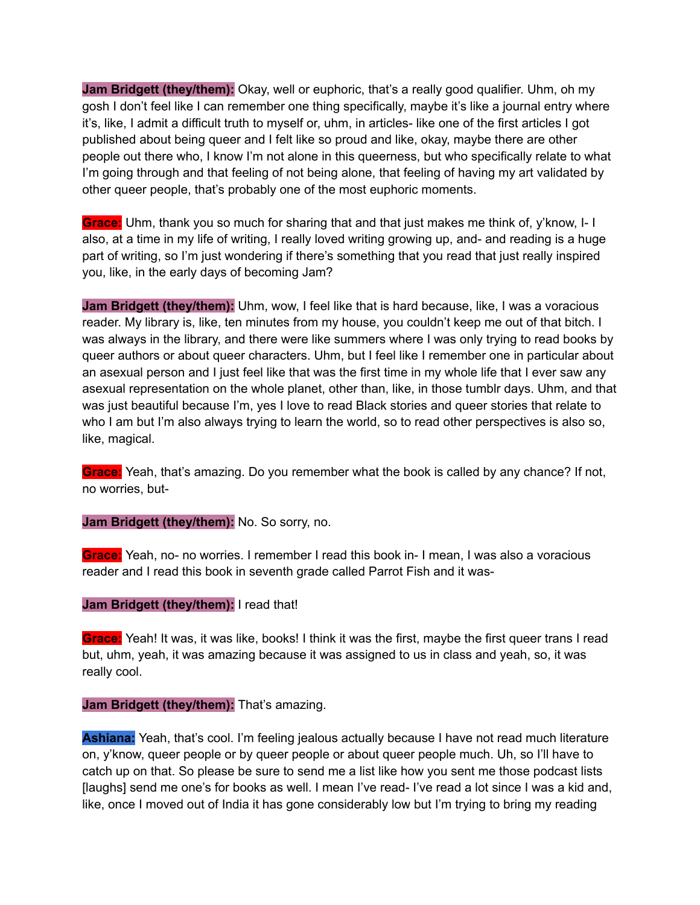**Jam Bridgett (they/them):** Okay, well or euphoric, that's a really good qualifier. Uhm, oh my gosh I don't feel like I can remember one thing specifically, maybe it's like a journal entry where it's, like, I admit a difficult truth to myself or, uhm, in articles- like one of the first articles I got published about being queer and I felt like so proud and like, okay, maybe there are other people out there who, I know I'm not alone in this queerness, but who specifically relate to what I'm going through and that feeling of not being alone, that feeling of having my art validated by other queer people, that's probably one of the most euphoric moments.

**Grace:** Uhm, thank you so much for sharing that and that just makes me think of, y'know, I- I also, at a time in my life of writing, I really loved writing growing up, and- and reading is a huge part of writing, so I'm just wondering if there's something that you read that just really inspired you, like, in the early days of becoming Jam?

**Jam Bridgett (they/them):** Uhm, wow, I feel like that is hard because, like, I was a voracious reader. My library is, like, ten minutes from my house, you couldn't keep me out of that bitch. I was always in the library, and there were like summers where I was only trying to read books by queer authors or about queer characters. Uhm, but I feel like I remember one in particular about an asexual person and I just feel like that was the first time in my whole life that I ever saw any asexual representation on the whole planet, other than, like, in those tumblr days. Uhm, and that was just beautiful because I'm, yes I love to read Black stories and queer stories that relate to who I am but I'm also always trying to learn the world, so to read other perspectives is also so, like, magical.

**Grace:** Yeah, that's amazing. Do you remember what the book is called by any chance? If not, no worries, but-

**Jam Bridgett (they/them):** No. So sorry, no.

**Grace:** Yeah, no- no worries. I remember I read this book in- I mean, I was also a voracious reader and I read this book in seventh grade called Parrot Fish and it was-

**Jam Bridgett (they/them):** I read that!

**Grace:** Yeah! It was, it was like, books! I think it was the first, maybe the first queer trans I read but, uhm, yeah, it was amazing because it was assigned to us in class and yeah, so, it was really cool.

**Jam Bridgett (they/them):** That's amazing.

**Ashiana:** Yeah, that's cool. I'm feeling jealous actually because I have not read much literature on, y'know, queer people or by queer people or about queer people much. Uh, so I'll have to catch up on that. So please be sure to send me a list like how you sent me those podcast lists [laughs] send me one's for books as well. I mean I've read- I've read a lot since I was a kid and, like, once I moved out of India it has gone considerably low but I'm trying to bring my reading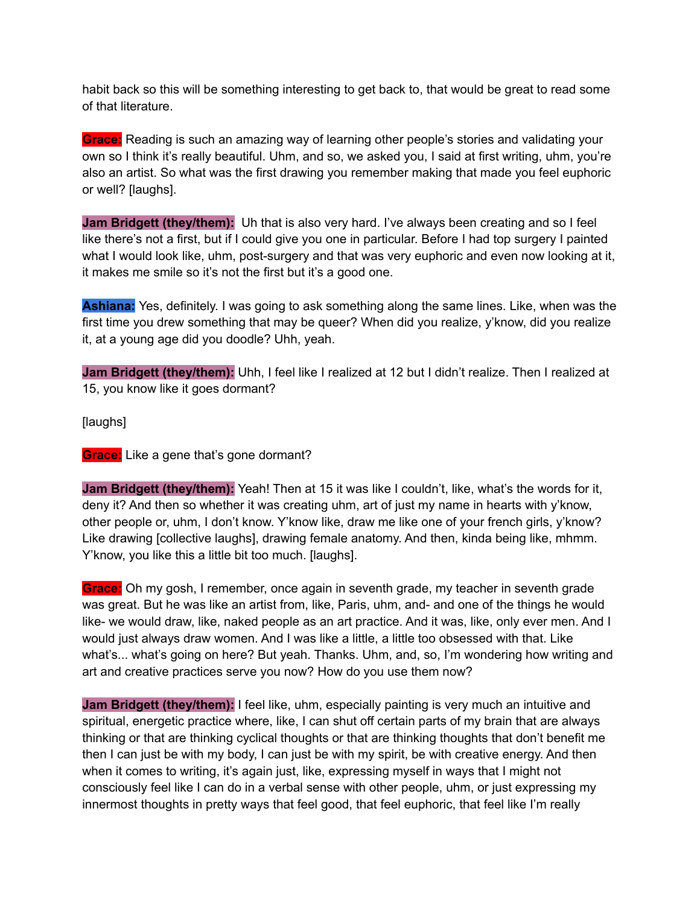habit back so this will be something interesting to get back to, that would be great to read some of that literature.

**Grace:** Reading is such an amazing way of learning other people's stories and validating your own so I think it's really beautiful. Uhm, and so, we asked you, I said at first writing, uhm, you're also an artist. So what was the first drawing you remember making that made you feel euphoric or well? [laughs].

**Jam Bridgett (they/them):** Uh that is also very hard. I've always been creating and so I feel like there's not a first, but if I could give you one in particular. Before I had top surgery I painted what I would look like, uhm, post-surgery and that was very euphoric and even now looking at it, it makes me smile so it's not the first but it's a good one.

**Ashiana:** Yes, definitely. I was going to ask something along the same lines. Like, when was the first time you drew something that may be queer? When did you realize, y'know, did you realize it, at a young age did you doodle? Uhh, yeah.

**Jam Bridgett (they/them):** Uhh, I feel like I realized at 12 but I didn't realize. Then I realized at 15, you know like it goes dormant?

[laughs]

**Grace:** Like a gene that's gone dormant?

**Jam Bridgett (they/them):** Yeah! Then at 15 it was like I couldn't, like, what's the words for it, deny it? And then so whether it was creating uhm, art of just my name in hearts with y'know, other people or, uhm, I don't know. Y'know like, draw me like one of your french girls, y'know? Like drawing [collective laughs], drawing female anatomy. And then, kinda being like, mhmm. Y' know, you like this a little bit too much. I laughs l.

**Grace:** Oh my gosh, I remember, once again in seventh grade, my teacher in seventh grade was great. But he was like an artist from, like, Paris, uhm, and- and one of the things he would like- we would draw, like, naked people as an art practice. And it was, like, only ever men. And I would just always draw women. And I was like a little, a little too obsessed with that. Like what's... what's going on here? But yeah. Thanks. Uhm, and, so, I'm wondering how writing and art and creative practices serve you now? How do you use them now?

**Jam Bridgett (they/them):** I feel like, uhm, especially painting is very much an intuitive and spiritual, energetic practice where, like, I can shut off certain parts of my brain that are always thinking or that are thinking cyclical thoughts or that are thinking thoughts that don't benefit me then I can just be with my body, I can just be with my spirit, be with creative energy. And then when it comes to writing, it's again just, like, expressing myself in ways that I might not consciously feel like I can do in a verbal sense with other people, uhm, or just expressing my innermost thoughts in pretty ways that feel good, that feel euphoric, that feel like I'm really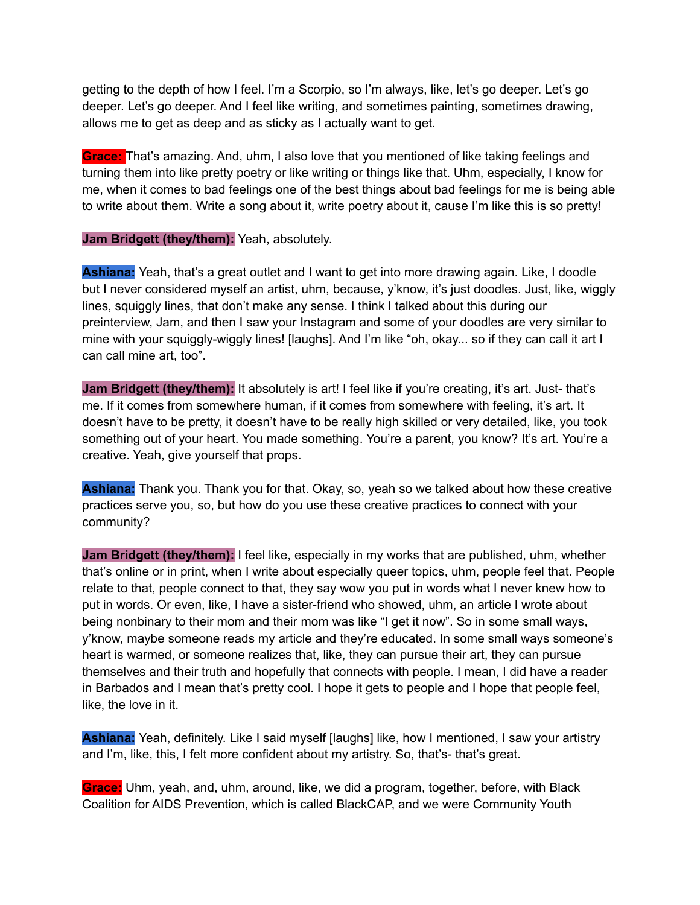getting to the depth of how I feel. I'm a Scorpio, so I'm always, like, let's go deeper. Let's go deeper. Let's go deeper. And I feel like writing, and sometimes painting, sometimes drawing, allows me to get as deep and as sticky as I actually want to get.

**Grace:** That's amazing. And, uhm, I also love that you mentioned of like taking feelings and turning them into like pretty poetry or like writing or things like that. Uhm, especially, I know for me, when it comes to bad feelings one of the best things about bad feelings for me is being able to write about them. Write a song about it, write poetry about it, cause I'm like this is so pretty!

**Jam Bridgett (they/them):** Yeah, absolutely.

**Ashiana:** Yeah, that's a great outlet and I want to get into more drawing again. Like, I doodle but I never considered myself an artist, uhm, because, y'know, it's just doodles. Just, like, wiggly lines, squiggly lines, that don't make any sense. I think I talked about this during our preinterview, Jam, and then I saw your Instagram and some of your doodles are very similar to mine with your squiggly-wiggly lines! [laughs]. And I'm like "oh, okay... so if they can call it art I can call mine art, too".

**Jam Bridgett (they/them):** It absolutely is art! I feel like if you're creating, it's art. Just- that's me. If it comes from somewhere human, if it comes from somewhere with feeling, it's art. It doesn't have to be pretty, it doesn't have to be really high skilled or very detailed, like, you took something out of your heart. You made something. You're a parent, you know? It's art. You're a creative. Yeah, give yourself that props.

**Ashiana:** Thank you. Thank you for that. Okay, so, yeah so we talked about how these creative practices serve you, so, but how do you use these creative practices to connect with your community?

**Jam Bridgett (they/them):** I feel like, especially in my works that are published, uhm, whether that's online or in print, when I write about especially queer topics, uhm, people feel that. People relate to that, people connect to that, they say wow you put in words what I never knew how to put in words. Or even, like, I have a sister-friend who showed, uhm, an article I wrote about being nonbinary to their mom and their mom was like "I get it now". So in some small ways, y'know, maybe someone reads my article and they're educated. In some small ways someone's heart is warmed, or someone realizes that, like, they can pursue their art, they can pursue themselves and their truth and hopefully that connects with people. I mean, I did have a reader in Barbados and I mean that's pretty cool. I hope it gets to people and I hope that people feel, like, the love in it.

**Ashiana:** Yeah, definitely. Like I said myself [laughs] like, how I mentioned, I saw your artistry and I'm, like, this, I felt more confident about my artistry. So, that's- that's great.

**Grace:** Uhm, yeah, and, uhm, around, like, we did a program, together, before, with Black Coalition for AIDS Prevention, which is called BlackCAP, and we were Community Youth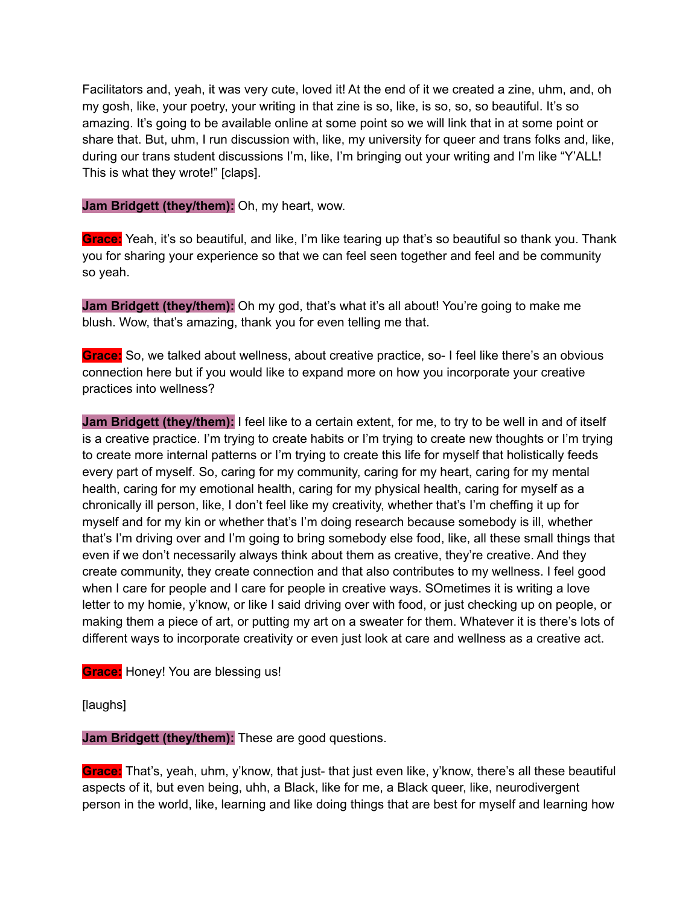Facilitators and, yeah, it was very cute, loved it! At the end of it we created a zine, uhm, and, oh my gosh, like, your poetry, your writing in that zine is so, like, is so, so, so beautiful. It's so amazing. It's going to be available online at some point so we will link that in at some point or share that. But, uhm, I run discussion with, like, my university for queer and trans folks and, like, during our trans student discussions I'm, like, I'm bringing out your writing and I'm like "Y'ALL! This is what they wrote!" [claps].

**Jam Bridgett (they/them):** Oh, my heart, wow.

**Grace:** Yeah, it's so beautiful, and like, I'm like tearing up that's so beautiful so thank you. Thank you for sharing your experience so that we can feel seen together and feel and be community so yeah.

**Jam Bridgett (they/them):** Oh my god, that's what it's all about! You're going to make me blush. Wow, that's amazing, thank you for even telling me that.

**Grace:** So, we talked about wellness, about creative practice, so- I feel like there's an obvious connection here but if you would like to expand more on how you incorporate your creative practices into wellness?

**Jam Bridgett (they/them):** I feel like to a certain extent, for me, to try to be well in and of itself is a creative practice. I'm trying to create habits or I'm trying to create new thoughts or I'm trying to create more internal patterns or I'm trying to create this life for myself that holistically feeds every part of myself. So, caring for my community, caring for my heart, caring for my mental health, caring for my emotional health, caring for my physical health, caring for myself as a chronically ill person, like, I don't feel like my creativity, whether that's I'm cheffing it up for myself and for my kin or whether that's I'm doing research because somebody is ill, whether that's I'm driving over and I'm going to bring somebody else food, like, all these small things that even if we don't necessarily always think about them as creative, they're creative. And they create community, they create connection and that also contributes to my wellness. I feel good when I care for people and I care for people in creative ways. SOmetimes it is writing a love letter to my homie, y'know, or like I said driving over with food, or just checking up on people, or making them a piece of art, or putting my art on a sweater for them. Whatever it is there's lots of different ways to incorporate creativity or even just look at care and wellness as a creative act.

**Grace:** Honey! You are blessing us!

[laughs]

**Jam Bridgett (they/them):** These are good questions.

**Grace:** That's, yeah, uhm, y'know, that just- that just even like, y'know, there's all these beautiful aspects of it, but even being, uhh, a Black, like for me, a Black queer, like, neurodivergent person in the world, like, learning and like doing things that are best for myself and learning how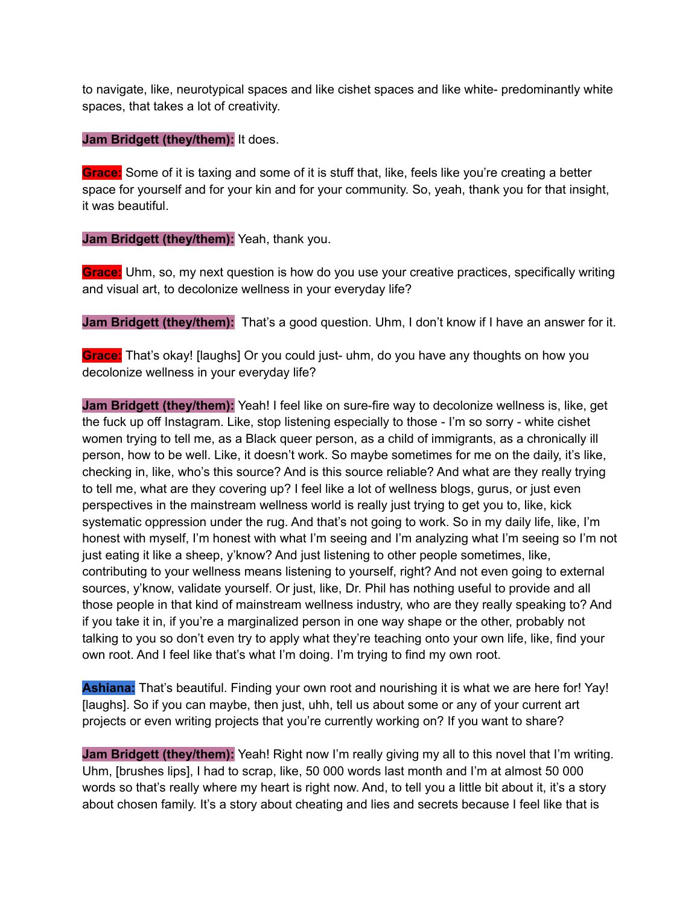to navigate, like, neurotypical spaces and like cishet spaces and like white- predominantly white spaces, that takes a lot of creativity.

#### **Jam Bridgett (they/them):** It does.

**Grace:** Some of it is taxing and some of it is stuff that, like, feels like you're creating a better space for yourself and for your kin and for your community. So, yeah, thank you for that insight, it was beautiful.

**Jam Bridgett (they/them):** Yeah, thank you.

**Grace:** Uhm, so, my next question is how do you use your creative practices, specifically writing and visual art, to decolonize wellness in your everyday life?

**Jam Bridgett (they/them):** That's a good question. Uhm, I don't know if I have an answer for it.

**Grace:** That's okay! [laughs] Or you could just- uhm, do you have any thoughts on how you decolonize wellness in your everyday life?

**Jam Bridgett (they/them):** Yeah! I feel like on sure-fire way to decolonize wellness is, like, get the fuck up off Instagram. Like, stop listening especially to those - I'm so sorry - white cishet women trying to tell me, as a Black queer person, as a child of immigrants, as a chronically ill person, how to be well. Like, it doesn't work. So maybe sometimes for me on the daily, it's like, checking in, like, who's this source? And is this source reliable? And what are they really trying to tell me, what are they covering up? I feel like a lot of wellness blogs, gurus, or just even perspectives in the mainstream wellness world is really just trying to get you to, like, kick systematic oppression under the rug. And that's not going to work. So in my daily life, like, I'm honest with myself, I'm honest with what I'm seeing and I'm analyzing what I'm seeing so I'm not just eating it like a sheep, y'know? And just listening to other people sometimes, like, contributing to your wellness means listening to yourself, right? And not even going to external sources, y'know, validate yourself. Or just, like, Dr. Phil has nothing useful to provide and all those people in that kind of mainstream wellness industry, who are they really speaking to? And if you take it in, if you're a marginalized person in one way shape or the other, probably not talking to you so don't even try to apply what they're teaching onto your own life, like, find your own root. And I feel like that's what I'm doing. I'm trying to find my own root.

**Ashiana:** That's beautiful. Finding your own root and nourishing it is what we are here for! Yay! [laughs]. So if you can maybe, then just, uhh, tell us about some or any of your current art projects or even writing projects that you're currently working on? If you want to share?

**Jam Bridgett (they/them):** Yeah! Right now I'm really giving my all to this novel that I'm writing. Uhm, [brushes lips], I had to scrap, like, 50 000 words last month and I'm at almost 50 000 words so that's really where my heart is right now. And, to tell you a little bit about it, it's a story about chosen family. It's a story about cheating and lies and secrets because I feel like that is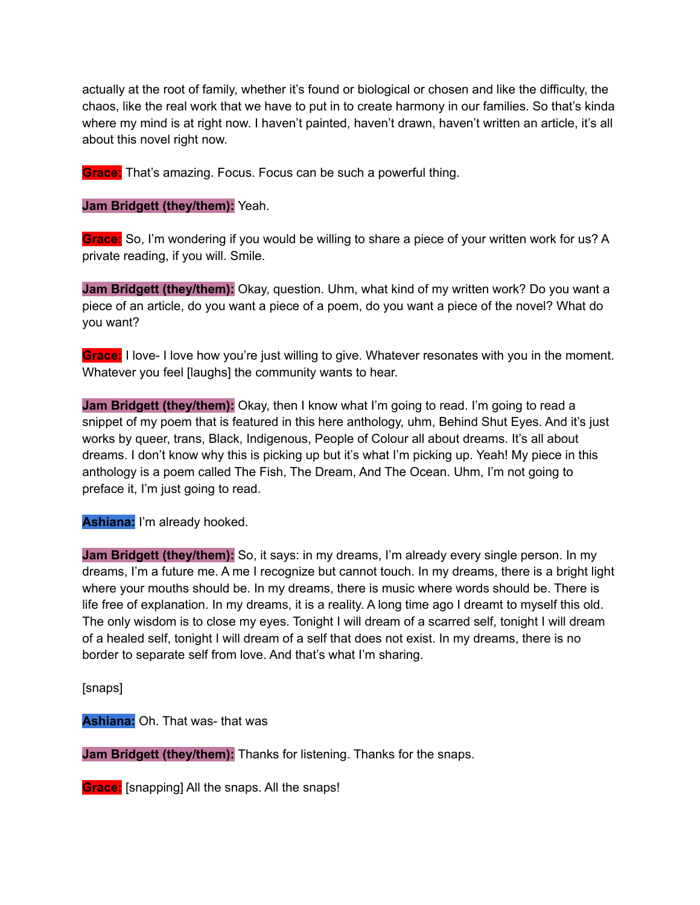actually at the root of family, whether it's found or biological or chosen and like the difficulty, the chaos, like the real work that we have to put in to create harmony in our families. So that's kinda where my mind is at right now. I haven't painted, haven't drawn, haven't written an article, it's all about this novel right now.

**Grace:** That's amazing. Focus. Focus can be such a powerful thing.

**Jam Bridgett (they/them):** Yeah.

**Grace:** So, I'm wondering if you would be willing to share a piece of your written work for us? A private reading, if you will. Smile.

**Jam Bridgett (they/them):** Okay, question. Uhm, what kind of my written work? Do you want a piece of an article, do you want a piece of a poem, do you want a piece of the novel? What do you want?

**Grace:** I love- I love how you're just willing to give. Whatever resonates with you in the moment. Whatever you feel [laughs] the community wants to hear.

**Jam Bridgett (they/them):** Okay, then I know what I'm going to read. I'm going to read a snippet of my poem that is featured in this here anthology, uhm, Behind Shut Eyes. And it's just works by queer, trans, Black, Indigenous, People of Colour all about dreams. It's all about dreams. I don't know why this is picking up but it's what I'm picking up. Yeah! My piece in this anthology is a poem called The Fish, The Dream, And The Ocean. Uhm, I'm not going to preface it, I'm just going to read.

**Ashiana:** I'm already hooked.

**Jam Bridgett (they/them):** So, it says: in my dreams, I'm already every single person. In my dreams, I'm a future me. A me I recognize but cannot touch. In my dreams, there is a bright light where your mouths should be. In my dreams, there is music where words should be. There is life free of explanation. In my dreams, it is a reality. A long time ago I dreamt to myself this old. The only wisdom is to close my eyes. Tonight I will dream of a scarred self, tonight I will dream of a healed self, tonight I will dream of a self that does not exist. In my dreams, there is no border to separate self from love. And that's what I'm sharing.

[snaps]

**Ashiana:** Oh. That was- that was

**Jam Bridgett (they/them):** Thanks for listening. Thanks for the snaps.

**Grace:** [snapping] All the snaps. All the snaps!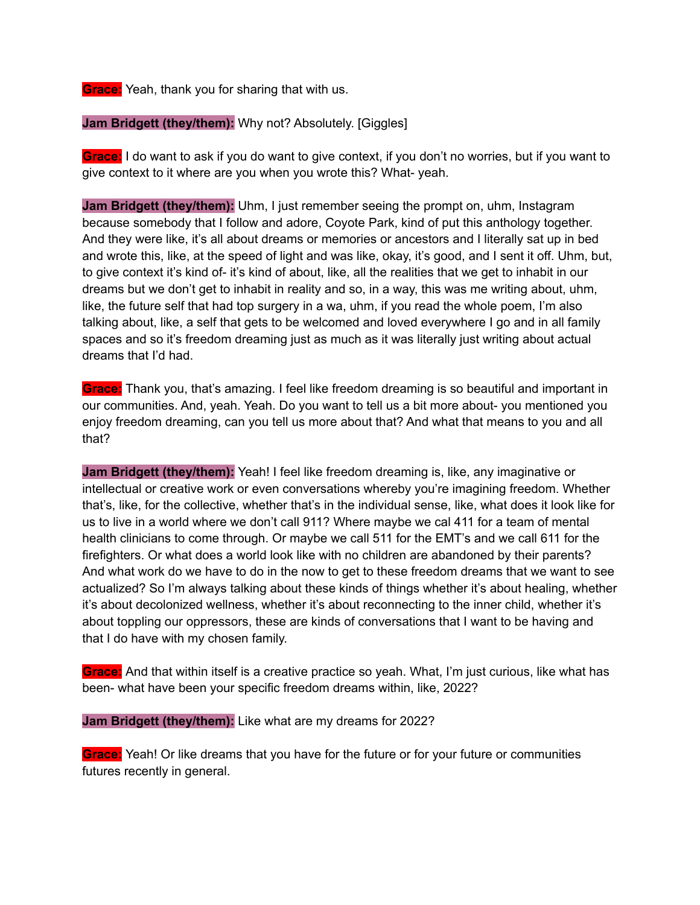**Grace:** Yeah, thank you for sharing that with us.

**Jam Bridgett (they/them):** Why not? Absolutely. [Giggles]

**Grace:** I do want to ask if you do want to give context, if you don't no worries, but if you want to give context to it where are you when you wrote this? What- yeah.

**Jam Bridgett (they/them):** Uhm, I just remember seeing the prompt on, uhm, Instagram because somebody that I follow and adore, Coyote Park, kind of put this anthology together. And they were like, it's all about dreams or memories or ancestors and I literally sat up in bed and wrote this, like, at the speed of light and was like, okay, it's good, and I sent it off. Uhm, but, to give context it's kind of- it's kind of about, like, all the realities that we get to inhabit in our dreams but we don't get to inhabit in reality and so, in a way, this was me writing about, uhm, like, the future self that had top surgery in a wa, uhm, if you read the whole poem, I'm also talking about, like, a self that gets to be welcomed and loved everywhere I go and in all family spaces and so it's freedom dreaming just as much as it was literally just writing about actual dreams that I'd had.

**Grace:** Thank you, that's amazing. I feel like freedom dreaming is so beautiful and important in our communities. And, yeah. Yeah. Do you want to tell us a bit more about- you mentioned you enjoy freedom dreaming, can you tell us more about that? And what that means to you and all that?

**Jam Bridgett (they/them):** Yeah! I feel like freedom dreaming is, like, any imaginative or intellectual or creative work or even conversations whereby you're imagining freedom. Whether that's, like, for the collective, whether that's in the individual sense, like, what does it look like for us to live in a world where we don't call 911? Where maybe we cal 411 for a team of mental health clinicians to come through. Or maybe we call 511 for the EMT's and we call 611 for the firefighters. Or what does a world look like with no children are abandoned by their parents? And what work do we have to do in the now to get to these freedom dreams that we want to see actualized? So I'm always talking about these kinds of things whether it's about healing, whether it's about decolonized wellness, whether it's about reconnecting to the inner child, whether it's about toppling our oppressors, these are kinds of conversations that I want to be having and that I do have with my chosen family.

**Grace:** And that within itself is a creative practice so yeah. What, I'm just curious, like what has been- what have been your specific freedom dreams within, like, 2022?

**Jam Bridgett (they/them):** Like what are my dreams for 2022?

**Grace:** Yeah! Or like dreams that you have for the future or for your future or communities futures recently in general.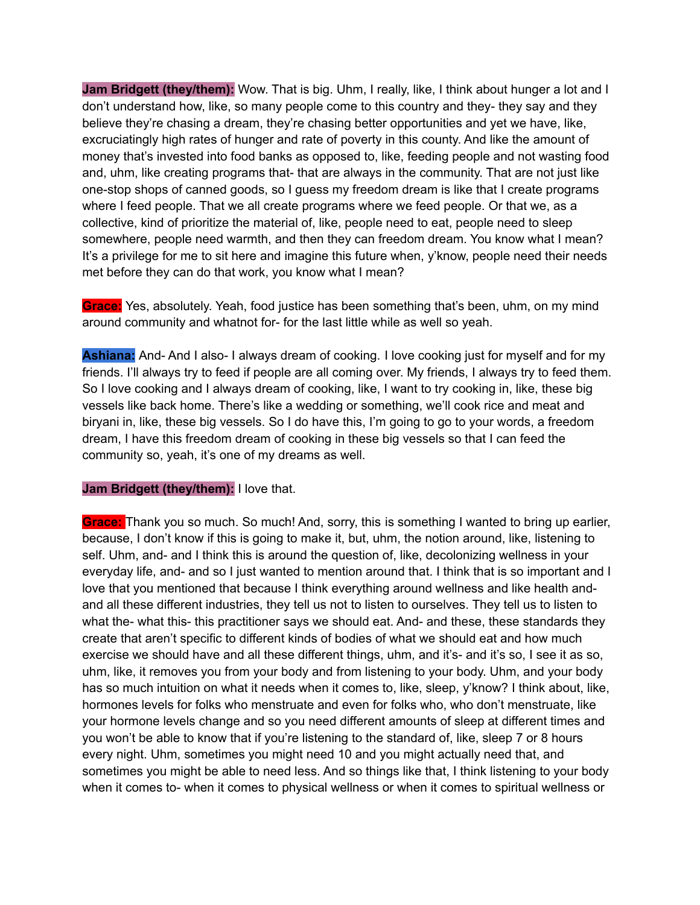**Jam Bridgett (they/them):** Wow. That is big. Uhm, I really, like, I think about hunger a lot and I don't understand how, like, so many people come to this country and they- they say and they believe they're chasing a dream, they're chasing better opportunities and yet we have, like, excruciatingly high rates of hunger and rate of poverty in this county. And like the amount of money that's invested into food banks as opposed to, like, feeding people and not wasting food and, uhm, like creating programs that- that are always in the community. That are not just like one-stop shops of canned goods, so I guess my freedom dream is like that I create programs where I feed people. That we all create programs where we feed people. Or that we, as a collective, kind of prioritize the material of, like, people need to eat, people need to sleep somewhere, people need warmth, and then they can freedom dream. You know what I mean? It's a privilege for me to sit here and imagine this future when, y'know, people need their needs met before they can do that work, you know what I mean?

**Grace:** Yes, absolutely. Yeah, food justice has been something that's been, uhm, on my mind around community and whatnot for- for the last little while as well so yeah.

**Ashiana:** And- And I also- I always dream of cooking. I love cooking just for myself and for my friends. I'll always try to feed if people are all coming over. My friends, I always try to feed them. So I love cooking and I always dream of cooking, like, I want to try cooking in, like, these big vessels like back home. There's like a wedding or something, we'll cook rice and meat and biryani in, like, these big vessels. So I do have this, I'm going to go to your words, a freedom dream, I have this freedom dream of cooking in these big vessels so that I can feed the community so, yeah, it's one of my dreams as well.

#### **Jam Bridgett (they/them):** I love that.

**Grace:** Thank you so much. So much! And, sorry, this is something I wanted to bring up earlier, because, I don't know if this is going to make it, but, uhm, the notion around, like, listening to self. Uhm, and- and I think this is around the question of, like, decolonizing wellness in your everyday life, and- and so I just wanted to mention around that. I think that is so important and I love that you mentioned that because I think everything around wellness and like health andand all these different industries, they tell us not to listen to ourselves. They tell us to listen to what the- what this- this practitioner says we should eat. And- and these, these standards they create that aren't specific to different kinds of bodies of what we should eat and how much exercise we should have and all these different things, uhm, and it's- and it's so, I see it as so, uhm, like, it removes you from your body and from listening to your body. Uhm, and your body has so much intuition on what it needs when it comes to, like, sleep, y'know? I think about, like, hormones levels for folks who menstruate and even for folks who, who don't menstruate, like your hormone levels change and so you need different amounts of sleep at different times and you won't be able to know that if you're listening to the standard of, like, sleep 7 or 8 hours every night. Uhm, sometimes you might need 10 and you might actually need that, and sometimes you might be able to need less. And so things like that, I think listening to your body when it comes to- when it comes to physical wellness or when it comes to spiritual wellness or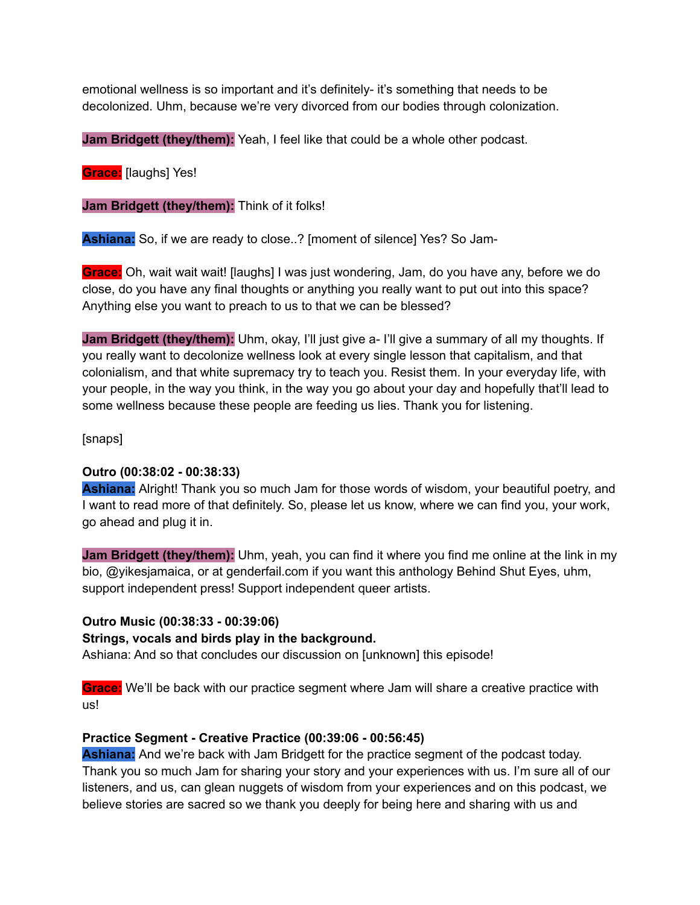emotional wellness is so important and it's definitely- it's something that needs to be decolonized. Uhm, because we're very divorced from our bodies through colonization.

**Jam Bridgett (they/them):** Yeah, I feel like that could be a whole other podcast.

**Grace:** [laughs] Yes!

**Jam Bridgett (they/them):** Think of it folks!

**Ashiana:** So, if we are ready to close..? [moment of silence] Yes? So Jam-

**Grace:** Oh, wait wait wait! [laughs] I was just wondering, Jam, do you have any, before we do close, do you have any final thoughts or anything you really want to put out into this space? Anything else you want to preach to us to that we can be blessed?

**Jam Bridgett (they/them):** Uhm, okay, I'll just give a- I'll give a summary of all my thoughts. If you really want to decolonize wellness look at every single lesson that capitalism, and that colonialism, and that white supremacy try to teach you. Resist them. In your everyday life, with your people, in the way you think, in the way you go about your day and hopefully that'll lead to some wellness because these people are feeding us lies. Thank you for listening.

[snaps]

### **Outro (00:38:02 - 00:38:33)**

**Ashiana:** Alright! Thank you so much Jam for those words of wisdom, your beautiful poetry, and I want to read more of that definitely. So, please let us know, where we can find you, your work, go ahead and plug it in.

**Jam Bridgett (they/them):** Uhm, yeah, you can find it where you find me online at the link in my bio, @yikesjamaica, or at genderfail.com if you want this anthology Behind Shut Eyes, uhm, support independent press! Support independent queer artists.

### **Outro Music (00:38:33 - 00:39:06)**

### **Strings, vocals and birds play in the background.**

Ashiana: And so that concludes our discussion on [unknown] this episode!

**Grace:** We'll be back with our practice segment where Jam will share a creative practice with us!

### **Practice Segment - Creative Practice (00:39:06 - 00:56:45)**

**Ashiana:** And we're back with Jam Bridgett for the practice segment of the podcast today. Thank you so much Jam for sharing your story and your experiences with us. I'm sure all of our listeners, and us, can glean nuggets of wisdom from your experiences and on this podcast, we believe stories are sacred so we thank you deeply for being here and sharing with us and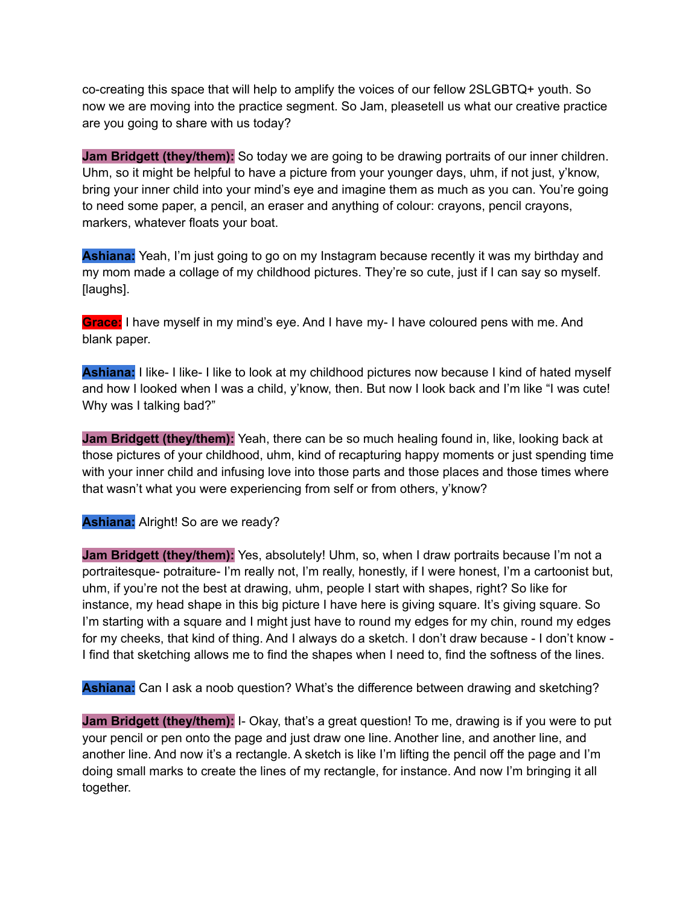co-creating this space that will help to amplify the voices of our fellow 2SLGBTQ+ youth. So now we are moving into the practice segment. So Jam, pleasetell us what our creative practice are you going to share with us today?

**Jam Bridgett (they/them):** So today we are going to be drawing portraits of our inner children. Uhm, so it might be helpful to have a picture from your younger days, uhm, if not just, y'know, bring your inner child into your mind's eye and imagine them as much as you can. You're going to need some paper, a pencil, an eraser and anything of colour: crayons, pencil crayons, markers, whatever floats your boat.

**Ashiana:** Yeah, I'm just going to go on my Instagram because recently it was my birthday and my mom made a collage of my childhood pictures. They're so cute, just if I can say so myself. [laughs].

**Grace:** I have myself in my mind's eye. And I have my- I have coloured pens with me. And blank paper.

**Ashiana:** I like- I like- I like to look at my childhood pictures now because I kind of hated myself and how I looked when I was a child, y'know, then. But now I look back and I'm like "I was cute! Why was I talking bad?"

**Jam Bridgett (they/them):** Yeah, there can be so much healing found in, like, looking back at those pictures of your childhood, uhm, kind of recapturing happy moments or just spending time with your inner child and infusing love into those parts and those places and those times where that wasn't what you were experiencing from self or from others, y'know?

### **Ashiana:** Alright! So are we ready?

**Jam Bridgett (they/them):** Yes, absolutely! Uhm, so, when I draw portraits because I'm not a portraitesque- potraiture- I'm really not, I'm really, honestly, if I were honest, I'm a cartoonist but, uhm, if you're not the best at drawing, uhm, people I start with shapes, right? So like for instance, my head shape in this big picture I have here is giving square. It's giving square. So I'm starting with a square and I might just have to round my edges for my chin, round my edges for my cheeks, that kind of thing. And I always do a sketch. I don't draw because - I don't know - I find that sketching allows me to find the shapes when I need to, find the softness of the lines.

**Ashiana:** Can I ask a noob question? What's the difference between drawing and sketching?

**Jam Bridgett (they/them):** I- Okay, that's a great question! To me, drawing is if you were to put your pencil or pen onto the page and just draw one line. Another line, and another line, and another line. And now it's a rectangle. A sketch is like I'm lifting the pencil off the page and I'm doing small marks to create the lines of my rectangle, for instance. And now I'm bringing it all together.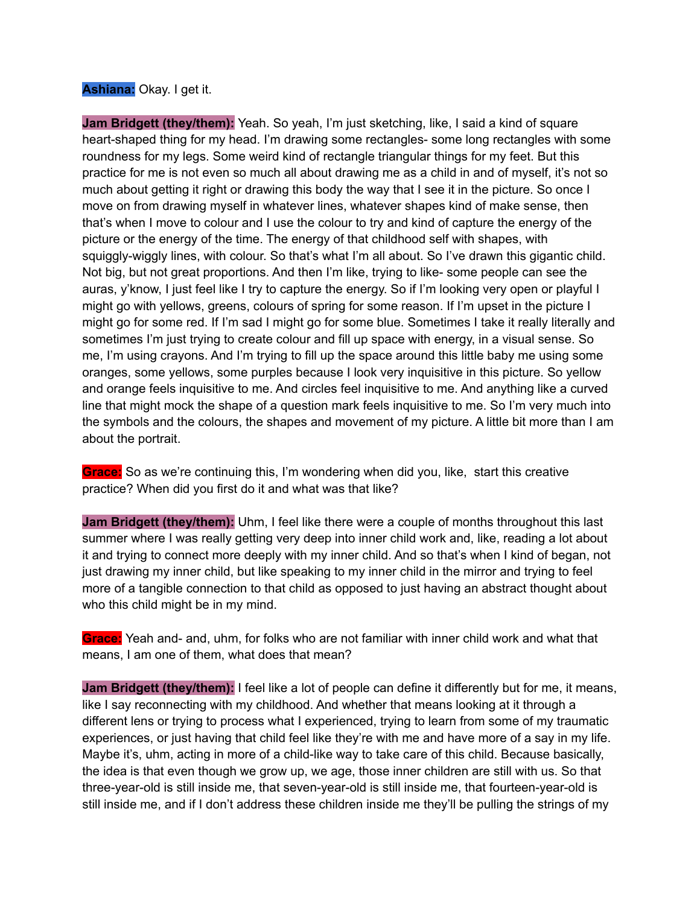## **Ashiana:** Okay. I get it.

**Jam Bridgett (they/them):** Yeah. So yeah, I'm just sketching, like, I said a kind of square heart-shaped thing for my head. I'm drawing some rectangles- some long rectangles with some roundness for my legs. Some weird kind of rectangle triangular things for my feet. But this practice for me is not even so much all about drawing me as a child in and of myself, it's not so much about getting it right or drawing this body the way that I see it in the picture. So once I move on from drawing myself in whatever lines, whatever shapes kind of make sense, then that's when I move to colour and I use the colour to try and kind of capture the energy of the picture or the energy of the time. The energy of that childhood self with shapes, with squiggly-wiggly lines, with colour. So that's what I'm all about. So I've drawn this gigantic child. Not big, but not great proportions. And then I'm like, trying to like- some people can see the auras, y'know, I just feel like I try to capture the energy. So if I'm looking very open or playful I might go with yellows, greens, colours of spring for some reason. If I'm upset in the picture I might go for some red. If I'm sad I might go for some blue. Sometimes I take it really literally and sometimes I'm just trying to create colour and fill up space with energy, in a visual sense. So me, I'm using crayons. And I'm trying to fill up the space around this little baby me using some oranges, some yellows, some purples because I look very inquisitive in this picture. So yellow and orange feels inquisitive to me. And circles feel inquisitive to me. And anything like a curved line that might mock the shape of a question mark feels inquisitive to me. So I'm very much into the symbols and the colours, the shapes and movement of my picture. A little bit more than I am about the portrait.

**Grace:** So as we're continuing this, I'm wondering when did you, like, start this creative practice? When did you first do it and what was that like?

**Jam Bridgett (they/them):** Uhm, I feel like there were a couple of months throughout this last summer where I was really getting very deep into inner child work and, like, reading a lot about it and trying to connect more deeply with my inner child. And so that's when I kind of began, not just drawing my inner child, but like speaking to my inner child in the mirror and trying to feel more of a tangible connection to that child as opposed to just having an abstract thought about who this child might be in my mind.

**Grace:** Yeah and- and, uhm, for folks who are not familiar with inner child work and what that means, I am one of them, what does that mean?

**Jam Bridgett (they/them):** I feel like a lot of people can define it differently but for me, it means, like I say reconnecting with my childhood. And whether that means looking at it through a different lens or trying to process what I experienced, trying to learn from some of my traumatic experiences, or just having that child feel like they're with me and have more of a say in my life. Maybe it's, uhm, acting in more of a child-like way to take care of this child. Because basically, the idea is that even though we grow up, we age, those inner children are still with us. So that three-year-old is still inside me, that seven-year-old is still inside me, that fourteen-year-old is still inside me, and if I don't address these children inside me they'll be pulling the strings of my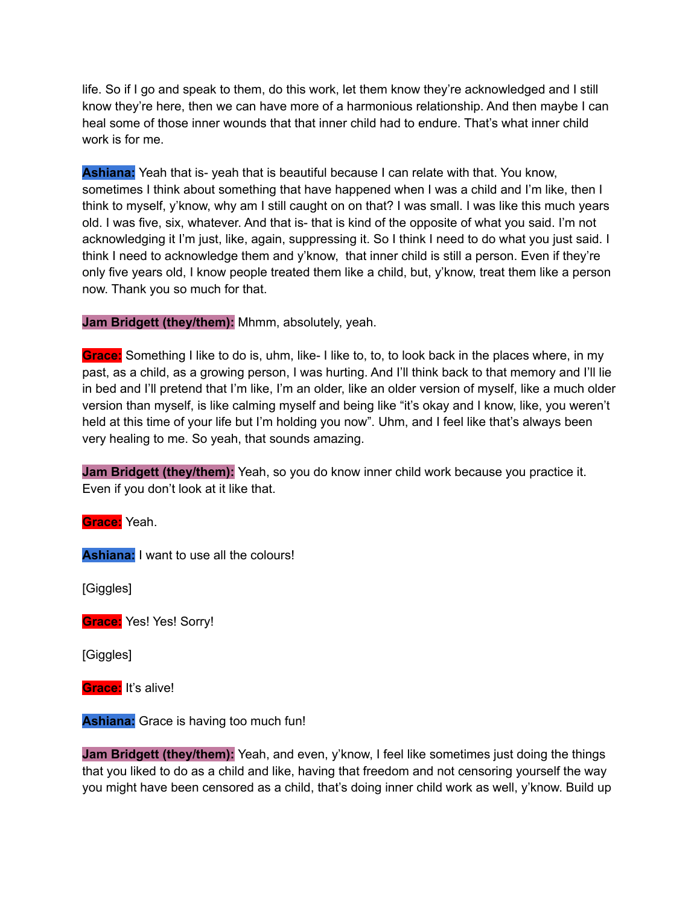life. So if I go and speak to them, do this work, let them know they're acknowledged and I still know they're here, then we can have more of a harmonious relationship. And then maybe I can heal some of those inner wounds that that inner child had to endure. That's what inner child work is for me.

**Ashiana:** Yeah that is- yeah that is beautiful because I can relate with that. You know, sometimes I think about something that have happened when I was a child and I'm like, then I think to myself, y'know, why am I still caught on on that? I was small. I was like this much years old. I was five, six, whatever. And that is- that is kind of the opposite of what you said. I'm not acknowledging it I'm just, like, again, suppressing it. So I think I need to do what you just said. I think I need to acknowledge them and y'know, that inner child is still a person. Even if they're only five years old, I know people treated them like a child, but, y'know, treat them like a person now. Thank you so much for that.

**Jam Bridgett (they/them):** Mhmm, absolutely, yeah.

**Grace:** Something I like to do is, uhm, like- I like to, to, to look back in the places where, in my past, as a child, as a growing person, I was hurting. And I'll think back to that memory and I'll lie in bed and I'll pretend that I'm like, I'm an older, like an older version of myself, like a much older version than myself, is like calming myself and being like "it's okay and I know, like, you weren't held at this time of your life but I'm holding you now". Uhm, and I feel like that's always been very healing to me. So yeah, that sounds amazing.

**Jam Bridgett (they/them):** Yeah, so you do know inner child work because you practice it. Even if you don't look at it like that.

**Grace:** Yeah.

**Ashiana:** I want to use all the colours!

[Giggles]

**Grace:** Yes! Yes! Sorry!

[Giggles]

**Grace:** It's alive!

**Ashiana:** Grace is having too much fun!

**Jam Bridgett (they/them):** Yeah, and even, y'know, I feel like sometimes just doing the things that you liked to do as a child and like, having that freedom and not censoring yourself the way you might have been censored as a child, that's doing inner child work as well, y'know. Build up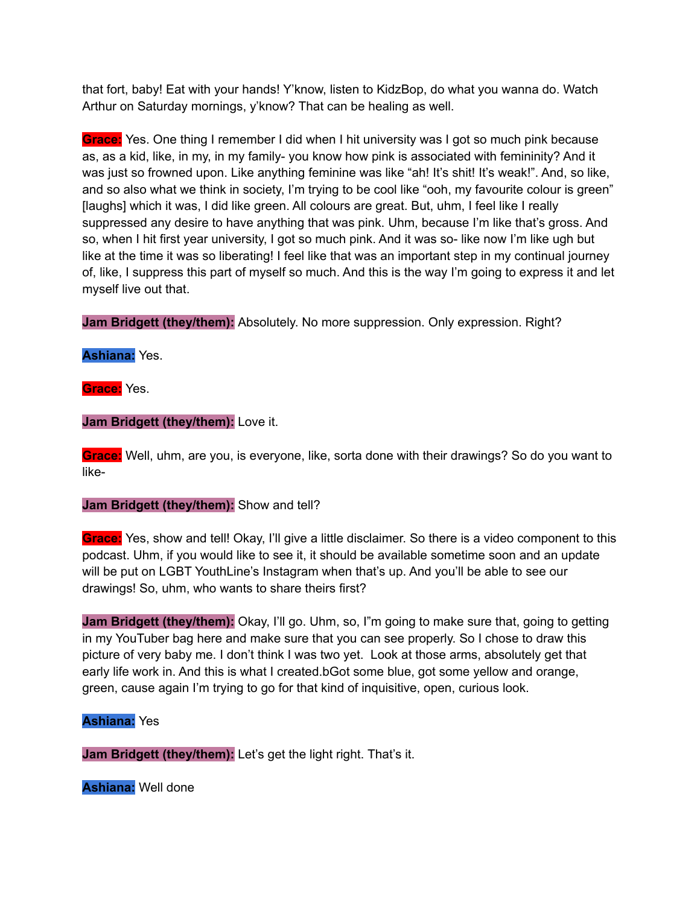that fort, baby! Eat with your hands! Y'know, listen to KidzBop, do what you wanna do. Watch Arthur on Saturday mornings, y'know? That can be healing as well.

**Grace:** Yes. One thing I remember I did when I hit university was I got so much pink because as, as a kid, like, in my, in my family- you know how pink is associated with femininity? And it was just so frowned upon. Like anything feminine was like "ah! It's shit! It's weak!". And, so like, and so also what we think in society, I'm trying to be cool like "ooh, my favourite colour is green" [laughs] which it was, I did like green. All colours are great. But, uhm, I feel like I really suppressed any desire to have anything that was pink. Uhm, because I'm like that's gross. And so, when I hit first year university, I got so much pink. And it was so- like now I'm like ugh but like at the time it was so liberating! I feel like that was an important step in my continual journey of, like, I suppress this part of myself so much. And this is the way I'm going to express it and let myself live out that.

**Jam Bridgett (they/them):** Absolutely. No more suppression. Only expression. Right?

**Ashiana:** Yes.

**Grace:** Yes.

**Jam Bridgett (they/them):** Love it.

**Grace:** Well, uhm, are you, is everyone, like, sorta done with their drawings? So do you want to like-

**Jam Bridgett (they/them):** Show and tell?

**Grace:** Yes, show and tell! Okay, I'll give a little disclaimer. So there is a video component to this podcast. Uhm, if you would like to see it, it should be available sometime soon and an update will be put on LGBT YouthLine's Instagram when that's up. And you'll be able to see our drawings! So, uhm, who wants to share theirs first?

**Jam Bridgett (they/them):** Okay, I'll go. Uhm, so, I"m going to make sure that, going to getting in my YouTuber bag here and make sure that you can see properly. So I chose to draw this picture of very baby me. I don't think I was two yet. Look at those arms, absolutely get that early life work in. And this is what I created.bGot some blue, got some yellow and orange, green, cause again I'm trying to go for that kind of inquisitive, open, curious look.

# **Ashiana:** Yes

**Jam Bridgett (they/them):** Let's get the light right. That's it.

**Ashiana:** Well done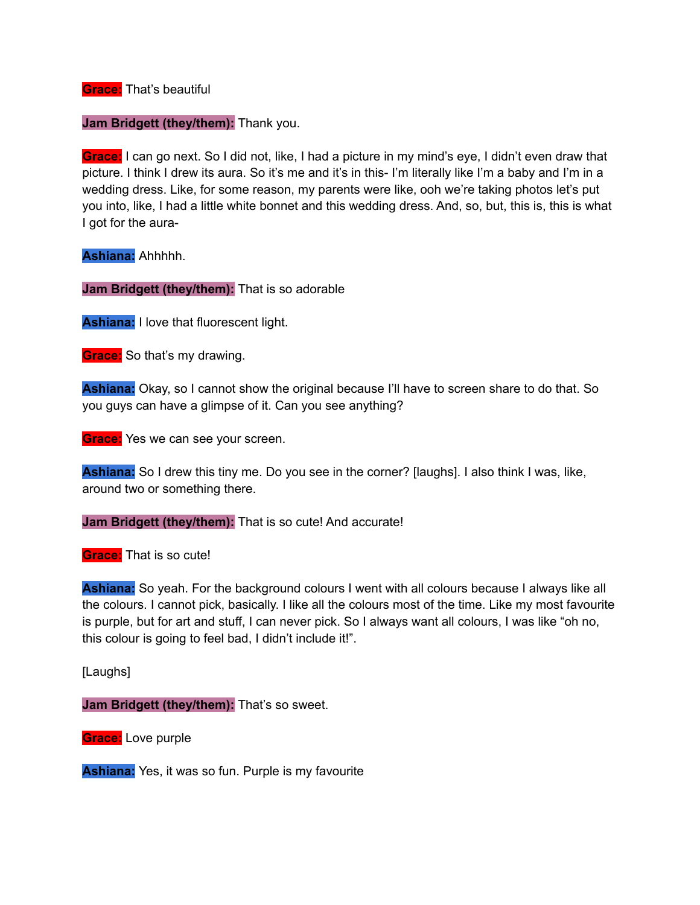**Grace:** That's beautiful

**Jam Bridgett (they/them):** Thank you.

**Grace:** I can go next. So I did not, like, I had a picture in my mind's eye, I didn't even draw that picture. I think I drew its aura. So it's me and it's in this- I'm literally like I'm a baby and I'm in a wedding dress. Like, for some reason, my parents were like, ooh we're taking photos let's put you into, like, I had a little white bonnet and this wedding dress. And, so, but, this is, this is what I got for the aura-

**Ashiana:** Ahhhhh.

**Jam Bridgett (they/them):** That is so adorable

**Ashiana:** I love that fluorescent light.

**Grace:** So that's my drawing.

**Ashiana:** Okay, so I cannot show the original because I'll have to screen share to do that. So you guys can have a glimpse of it. Can you see anything?

**Grace:** Yes we can see your screen.

**Ashiana:** So I drew this tiny me. Do you see in the corner? [laughs]. I also think I was, like, around two or something there.

**Jam Bridgett (they/them):** That is so cute! And accurate!

**Grace:** That is so cute!

**Ashiana:** So yeah. For the background colours I went with all colours because I always like all the colours. I cannot pick, basically. I like all the colours most of the time. Like my most favourite is purple, but for art and stuff, I can never pick. So I always want all colours, I was like "oh no, this colour is going to feel bad, I didn't include it!".

[Laughs]

**Jam Bridgett (they/them):** That's so sweet.

**Grace:** Love purple

**Ashiana:** Yes, it was so fun. Purple is my favourite